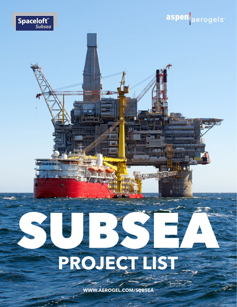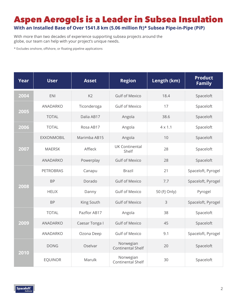## Aspen Aerogels is a Leader in Subsea Insulation

**With an Installed Base of Over 1541.8 km (5.06 million ft)\* Subsea Pipe-in-Pipe (PiP)**

With more than two decades of experience supporting subsea projects around the globe, our team can help with your project's unique needs.

\* Excludes onshore, offshore, or floating pipeline applications

| <b>Year</b> | <b>User</b>       | <b>Asset</b>   | <b>Region</b>                         | Length (km)    | <b>Product</b><br><b>Family</b> |
|-------------|-------------------|----------------|---------------------------------------|----------------|---------------------------------|
| 2004        | <b>ENI</b>        | K <sub>2</sub> | <b>Gulf of Mexico</b>                 | 18.4           | Spaceloft                       |
|             | ANADARKO          | Ticonderoga    | <b>Gulf of Mexico</b>                 | 17             | Spaceloft                       |
| 2005        | <b>TOTAL</b>      | Dalia AB17     | Angola                                | 38.6           | Spaceloft                       |
| 2006        | <b>TOTAL</b>      | Rosa AB17      | Angola                                | $4 \times 1.1$ | Spaceloft                       |
| 2007        | <b>EXXONMOBIL</b> | Marimba AB15   | Angola                                | 10             | Spaceloft                       |
|             | <b>MAERSK</b>     | Affleck        | <b>UK Continental</b><br>Shelf        | 28             | Spaceloft                       |
|             | ANADARKO          | Powerplay      | <b>Gulf of Mexico</b>                 | 28             | Spaceloft                       |
|             | <b>PETROBRAS</b>  | Canapu         | <b>Brazil</b>                         | 21             | Spaceloft, Pyrogel              |
|             | <b>BP</b>         | Dorado         | <b>Gulf of Mexico</b>                 | 7.7            | Spaceloft, Pyrogel              |
| 2008        | <b>HELIX</b>      | Danny          | <b>Gulf of Mexico</b>                 | 50 (FJ Only)   | Pyrogel                         |
|             | <b>BP</b>         | King South     | <b>Gulf of Mexico</b>                 | 3              | Spaceloft, Pyrogel              |
|             | <b>TOTAL</b>      | Pazflor AB17   | Angola                                | 38             | Spaceloft                       |
| 2009        | <b>ANADARKO</b>   | Caesar Tonga I | <b>Gulf of Mexico</b>                 | 45             | Spaceloft                       |
|             | ANADARKO          | Ozona Deep     | <b>Gulf of Mexico</b>                 | 9.1            | Spaceloft, Pyrogel              |
| 2010        | <b>DONG</b>       | Oselvar        | Norwegian<br>Continental Shelf        | 20             | Spaceloft                       |
|             | <b>EQUINOR</b>    | Marulk         | Norwegian<br><b>Continental Shelf</b> | 30             | Spaceloft                       |

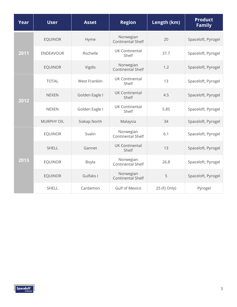| Year | <b>User</b>       | <b>Asset</b>         | <b>Region</b>                         | Length (km)  | <b>Product</b><br><b>Family</b> |
|------|-------------------|----------------------|---------------------------------------|--------------|---------------------------------|
| 2011 | <b>EQUINOR</b>    | Hyme                 | Norwegian<br><b>Continental Shelf</b> | 20           | Spaceloft, Pyrogel              |
|      | <b>ENDEAVOUR</b>  | Rochelle             | <b>UK Continental</b><br>Shelf        | 37.7         | Spaceloft, Pyrogel              |
|      | <b>EQUINOR</b>    | Vigdis               | Norwegian<br><b>Continental Shelf</b> | 1.2          | Spaceloft, Pyrogel              |
|      | <b>TOTAL</b>      | <b>West Franklin</b> | <b>UK Continental</b><br>Shelf        | 13           | Spaceloft, Pyrogel              |
| 2012 | <b>NEXEN</b>      | Golden Eagle I       | <b>UK Continental</b><br>Shelf        | 4.5          | Spaceloft, Pyrogel              |
|      | <b>NEXEN</b>      | Golden Eagle I       | <b>UK Continental</b><br>Shelf        | 5.85         | Spaceloft, Pyrogel              |
|      | <b>MURPHY OIL</b> | Siakap North         | Malaysia                              | 34           | Spaceloft, Pyrogel              |
| 2013 | <b>EQUINOR</b>    | Svalin               | Norwegian<br>Continental Shelf        | 6.1          | Spaceloft, Pyrogel              |
|      | <b>SHELL</b>      | Gannet               | <b>UK Continental</b><br>Shelf        | 13           | Spaceloft, Pyrogel              |
|      | <b>EQUINOR</b>    | Boyla                | Norwegian<br>Continental Shelf        | 26.8         | Spaceloft, Pyrogel              |
|      | <b>EQUINOR</b>    | Gulfaks I            | Norwegian<br><b>Continental Shelf</b> | 5            | Spaceloft, Pyrogel              |
|      | <b>SHELL</b>      | Cardamon             | <b>Gulf of Mexico</b>                 | 25 (FJ Only) | Pyrogel                         |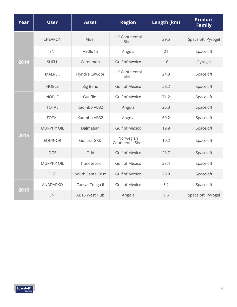| Year | <b>User</b>       | <b>Asset</b>       | <b>Region</b>                  | Length (km) | <b>Product</b><br><b>Family</b> |
|------|-------------------|--------------------|--------------------------------|-------------|---------------------------------|
| 2014 | <b>CHEVRON</b>    | Alder              | <b>UK Continental</b><br>Shelf | 29.5        | Spaceloft, Pyrogel              |
|      | <b>ENI</b>        | AB06/15            | Angola                         | 21          | Spaceloft                       |
|      | <b>SHELL</b>      | Cardamon           | <b>Gulf of Mexico</b>          | 16          | Pyrogel                         |
|      | <b>MAERSK</b>     | Flyndre Cawdor     | <b>UK Continental</b><br>Shelf | 24.8        | Spaceloft                       |
|      | <b>NOBLE</b>      | <b>Big Bend</b>    | <b>Gulf of Mexico</b>          | 58.2        | Spaceloft                       |
|      | <b>NOBLE</b>      | Gunflint           | <b>Gulf of Mexico</b>          | 71.2        | Spaceloft                       |
|      | <b>TOTAL</b>      | Kaombo AB32        | Angola                         | 26.3        | Spaceloft                       |
|      | <b>TOTAL</b>      | Kaombo AB32        | Angola                         | 60.2        | Spaceloft                       |
|      | <b>MURPHY OIL</b> | Dalmatian          | <b>Gulf of Mexico</b>          | 19.9        | Spaceloft                       |
| 2015 | <b>EQUINOR</b>    | <b>Gulfaks GRD</b> | Norwegian<br>Continental Shelf | 10.2        | Spaceloft                       |
|      | <b>DGE</b>        | Odd                | <b>Gulf of Mexico</b>          | 23.7        | Spaceloft                       |
|      | <b>MURPHY OIL</b> | Thunderbird        | <b>Gulf of Mexico</b>          | 23.4        | Spaceloft                       |
|      | <b>DGE</b>        | South Santa Cruz   | <b>Gulf of Mexico</b>          | 23.8        | Spaceloft                       |
| 2016 | ANADARKO          | Caesar Tonga II    | <b>Gulf of Mexico</b>          | 5.2         | Spaceloft                       |
|      | <b>ENI</b>        | AB15 West Hub      | Angola                         | 9.6         | Spaceloft, Pyrogel              |

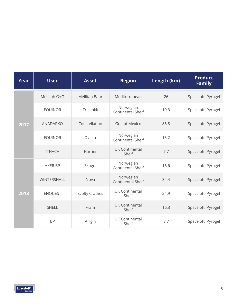| Year | <b>User</b>    | <b>Asset</b>          | <b>Region</b>                         | Length (km) | <b>Product</b><br><b>Family</b> |
|------|----------------|-----------------------|---------------------------------------|-------------|---------------------------------|
| 2017 | Mellitah O+G   | Mellitah Bahr         | Mediterranean                         | 26          | Spaceloft, Pyrogel              |
|      | <b>EQUINOR</b> | Trestakk              | Norwegian<br><b>Continental Shelf</b> | 19.3        | Spaceloft, Pyrogel              |
|      | ANADARKO       | Constellation         | <b>Gulf of Mexico</b>                 | 86.8        | Spaceloft, Pyrogel              |
|      | <b>EQUINOR</b> | Dvalin                | Norwegian<br><b>Continental Shelf</b> | 15.2        | Spaceloft, Pyrogel              |
|      | <b>ITHACA</b>  | Harrier               | <b>UK Continental</b><br>Shelf        | 7.7         | Spaceloft, Pyrogel              |
| 2018 | <b>AKER BP</b> | Skogul                | Norwegian<br><b>Continental Shelf</b> | 16.6        | Spaceloft, Pyrogel              |
|      | WINTERSHALL    | Nova                  | Norwegian<br><b>Continental Shelf</b> | 34.4        | Spaceloft, Pyrogel              |
|      | <b>ENQUEST</b> | <b>Scolty Crathes</b> | <b>UK Continental</b><br>Shelf        | 24.9        | Spaceloft, Pyrogel              |
|      | <b>SHELL</b>   | Fram                  | <b>UK Continental</b><br>Shelf        | 16.3        | Spaceloft, Pyrogel              |
|      | <b>BP</b>      | Alligin               | <b>UK Continental</b><br>Shelf        | 8.7         | Spaceloft, Pyrogel              |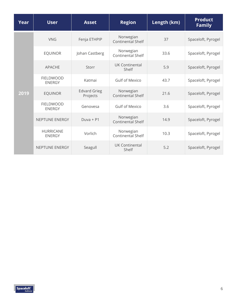| Year | <b>User</b>                       | <b>Asset</b>                    | <b>Region</b>                         | Length (km) | <b>Product</b><br><b>Family</b> |
|------|-----------------------------------|---------------------------------|---------------------------------------|-------------|---------------------------------|
| 2019 | <b>VNG</b>                        | Fenja ETHPIP                    | Norwegian<br><b>Continental Shelf</b> | 37          | Spaceloft, Pyrogel              |
|      | <b>EQUINOR</b>                    | Johan Castberg                  | Norwegian<br><b>Continental Shelf</b> | 33.6        | Spaceloft, Pyrogel              |
|      | <b>APACHE</b>                     | Storr                           | UK Continental<br>Shelf               | 5.9         | Spaceloft, Pyrogel              |
|      | <b>FIELDWOOD</b><br><b>ENERGY</b> | Katmai                          | <b>Gulf of Mexico</b>                 | 43.7        | Spaceloft, Pyrogel              |
|      | <b>EQUINOR</b>                    | <b>Edvard Grieg</b><br>Projects | Norwegian<br><b>Continental Shelf</b> | 21.6        | Spaceloft, Pyrogel              |
|      | <b>FIELDWOOD</b><br><b>ENERGY</b> | Genovesa                        | <b>Gulf of Mexico</b>                 | 3.6         | Spaceloft, Pyrogel              |
|      | <b>NEPTUNE ENERGY</b>             | $Duva + P1$                     | Norwegian<br><b>Continental Shelf</b> | 14.9        | Spaceloft, Pyrogel              |
|      | <b>HURRICANE</b><br><b>ENERGY</b> | Vorlich                         | Norwegian<br><b>Continental Shelf</b> | 10.3        | Spaceloft, Pyrogel              |
|      | NEPTUNE ENERGY                    | Seagull                         | UK Continental<br>Shelf               | 5.2         | Spaceloft, Pyrogel              |